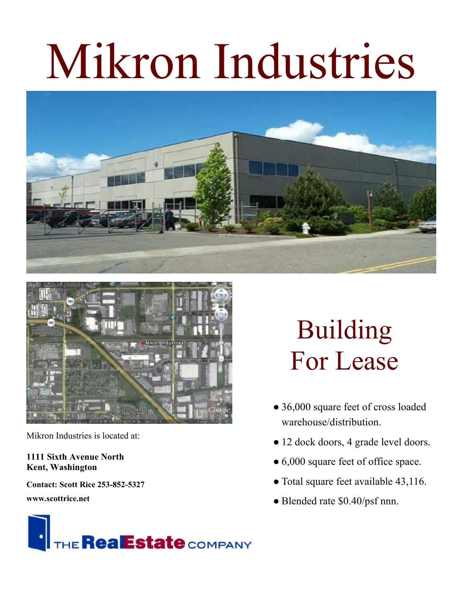## Mikron Industries





Mikron Industries is located at:

## **1111 Sixth Avenue North Kent, Washington**

**Contact: Scott Rice 253-852-5327**

**www.scottrice.net**



## Building For Lease

- 36,000 square feet of cross loaded warehouse/distribution.
- 12 dock doors, 4 grade level doors.
- 6,000 square feet of office space.
- Total square feet available 43,116.
- Blended rate \$0.40/psf nnn.